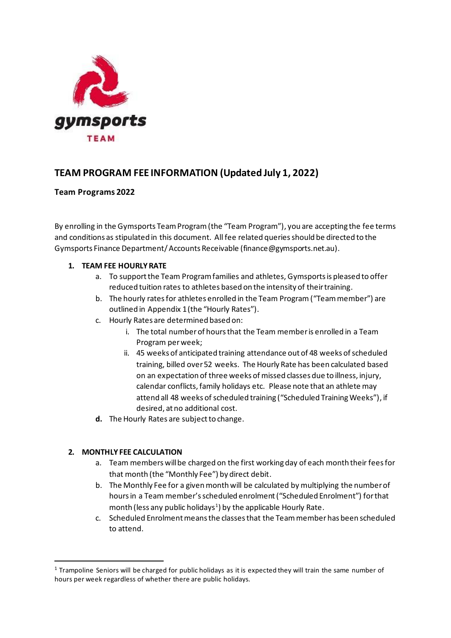

# **TEAM PROGRAM FEE INFORMATION (Updated July 1, 2022)**

#### **Team Programs 2022**

By enrolling in the Gymsports Team Program(the "Team Program"), you are accepting the fee terms and conditions as stipulated in this document. All fee related queries should be directed to the Gymsports Finance Department/ Accounts Receivable (finance@gymsports.net.au).

#### **1. TEAM FEE HOURLY RATE**

- a. To support the Team Program families and athletes, Gymsports is pleased to offer reduced tuition rates to athletes based on the intensity of their training.
- b. The hourly rates for athletes enrolled in the Team Program ("Team member") are outlined in Appendix 1(the "Hourly Rates").
- c. Hourly Rates are determined based on:
	- i. The total number of hours that the Team member is enrolled in a Team Program per week;
	- ii. 45 weeks of anticipated training attendance out of 48 weeks of scheduled training, billed over 52 weeks. The Hourly Rate has been calculated based on an expectation of three weeks of missed classes due to illness, injury, calendar conflicts, family holidays etc. Please note that an athlete may attend all 48 weeks of scheduled training ("Scheduled Training Weeks"), if desired, at no additional cost.
- **d.** The Hourly Rates are subject to change.

## **2. MONTHLY FEE CALCULATION**

- a. Team members will be charged on the first working day of each month their fees for that month (the "Monthly Fee") by direct debit.
- b. The Monthly Fee for a given month will be calculated by multiplying the number of hours in a Team member's scheduled enrolment ("Scheduled Enrolment") for that month (less any public holidays<sup>1</sup>) by the applicable Hourly Rate.
- c. Scheduled Enrolment means the classes that the Team member has been scheduled to attend.

<sup>&</sup>lt;sup>1</sup> Trampoline Seniors will be charged for public holidays as it is expected they will train the same number of hours per week regardless of whether there are public holidays.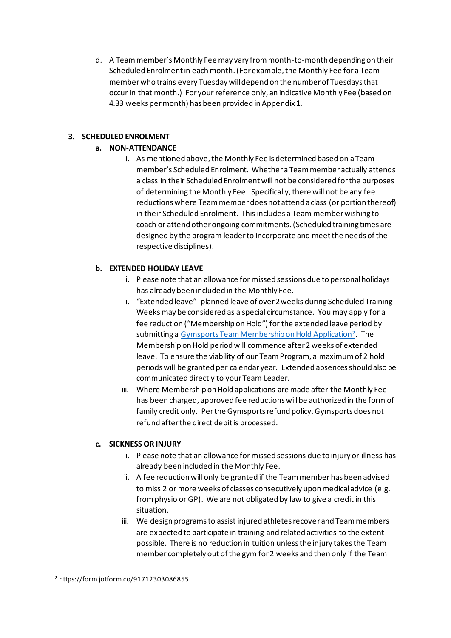d. A Team member's Monthly Fee may vary from month-to-month depending on their Scheduled Enrolment in each month.(For example, the Monthly Fee for a Team memberwho trains every Tuesday will depend on the number of Tuesdays that occur in that month.) For your reference only, an indicative Monthly Fee (based on 4.33 weeks permonth) has been provided in Appendix 1.

#### **3. SCHEDULED ENROLMENT**

#### **a. NON-ATTENDANCE**

i. As mentioned above, the Monthly Fee is determined based on a Team member's Scheduled Enrolment. Whether a Team member actually attends a class in their Scheduled Enrolment will not be considered for the purposes of determining the Monthly Fee. Specifically, there will not be any fee reductions where Team memberdoes not attend a class (or portion thereof) in their Scheduled Enrolment. This includes a Team memberwishing to coach or attend other ongoing commitments. (Scheduled training times are designed by the program leader to incorporate and meet the needs of the respective disciplines).

## **b. EXTENDED HOLIDAY LEAVE**

- i. Please note that an allowance for missed sessions due to personal holidays has already been included in the Monthly Fee.
- ii. "Extended leave"- planned leave of over 2 weeks during Scheduled Training Weeks may be considered as a special circumstance. You may apply for a fee reduction ("Membership on Hold") for the extended leave period by submitting a Gymsports Team Membership on Hold Application<sup>2</sup>. The Membership on Hold period will commence after 2 weeks of extended leave. To ensure the viability of our Team Program, a maximum of 2 hold periods will be granted per calendar year. Extended absences should also be communicated directly to your Team Leader.
- iii. Where Membership on Hold applications are made after the Monthly Fee has been charged, approved fee reductions will be authorized in the form of family credit only. Per the Gymsports refund policy, Gymsports does not refund after the direct debit is processed.

## **c. SICKNESS OR INJURY**

- i. Please note that an allowance for missed sessions due to injury or illness has already been included in the Monthly Fee.
- ii. A fee reduction will only be granted if the Team member has been advised to miss 2 or more weeks of classes consecutively upon medical advice (e.g. from physio or GP). We are not obligated by law to give a credit in this situation.
- iii. We design programs to assist injured athletes recover and Team members are expected to participate in training and related activities to the extent possible. There is no reduction in tuition unless the injury takes the Team member completely out of the gym for 2 weeks and then only if the Team

<sup>2</sup> https://form.jotform.co/91712303086855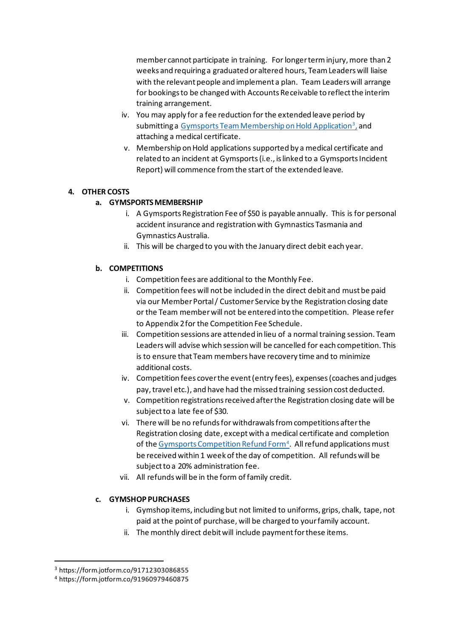member cannot participate in training. For longer term injury, more than 2 weeks and requiring a graduated or altered hours, Team Leaders will liaise with the relevant people and implement a plan. Team Leaders will arrange for bookings to be changed with Accounts Receivable to reflect the interim training arrangement.

- iv. You may apply for a fee reduction for the extended leave period by submitting a <u>Gymsports Team Membership on Hold Application<sup>3</sup>,</u> and attaching a medical certificate.
- v. Membership on Hold applications supported by a medical certificate and related to an incident at Gymsports(i.e., is linked to a Gymsports Incident Report) will commence from the start of the extended leave.

#### **4. OTHER COSTS**

#### **a. GYMSPORTS MEMBERSHIP**

- i. A Gymsports Registration Fee of \$50 is payable annually. This is for personal accident insurance and registration with Gymnastics Tasmania and Gymnastics Australia.
- ii. This will be charged to you with the January direct debit each year.

#### **b. COMPETITIONS**

- i. Competition fees are additional to the Monthly Fee.
- ii. Competition fees will not be included in the direct debit and must be paid via our Member Portal / Customer Service by the Registration closing date or the Team memberwill not be entered into the competition. Please refer to Appendix 2 for the Competition Fee Schedule.
- iii. Competition sessions are attended in lieu of a normal training session. Team Leaders will advise which session will be cancelled for each competition. This is to ensure that Team members have recovery time and to minimize additional costs.
- iv. Competition fees cover the event (entry fees), expenses (coaches and judges pay, travel etc.), and have had the missed training session cost deducted.
- v. Competition registrations received after the Registration closing date will be subject to a late fee of \$30.
- vi. There will be no refunds for withdrawals from competitions after the Registration closing date, except with a medical certificate and completion of the Gymsports Competition Refund Form<sup>4</sup>. All refund applications must be received within 1 week of the day of competition. All refunds will be subject to a 20% administration fee.
- vii. All refunds will be in the form of family credit.

#### **c. GYMSHOP PURCHASES**

- i. Gymshop items, including but not limited to uniforms, grips, chalk, tape, not paid at the point of purchase, will be charged to your family account.
- ii. The monthly direct debit will include payment for these items.

<sup>3</sup> https://form.jotform.co/91712303086855

<sup>4</sup> https://form.jotform.co/91960979460875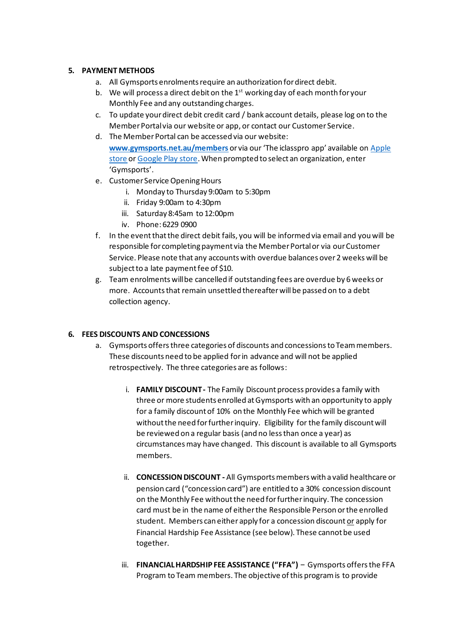#### **5. PAYMENT METHODS**

- a. All Gymsports enrolments require an authorization for direct debit.
- b. We will process a direct debit on the  $1<sup>st</sup>$  working day of each month for your Monthly Fee and any outstanding charges.
- c. To update your direct debit credit card / bank account details, please log on to the Member Portal via our website or app, or contact our Customer Service.
- d. The Member Portal can be accessed via our website: **www.gymsports.net.au/members** or via our 'The iclasspro app' available on Apple store or Google Play store.When prompted to select an organization, enter 'Gymsports'.
- e. Customer Service Opening Hours
	- i. Monday to Thursday 9:00am to 5:30pm
	- ii. Friday 9:00am to 4:30pm
	- iii. Saturday 8:45am to 12:00pm
	- iv. Phone: 6229 0900
- f. In the event that the direct debit fails, you will be informed via email and you will be responsible for completing payment via the Member Portal or via our Customer Service. Please note that any accounts with overdue balances over 2 weeks will be subject to a late payment fee of \$10.
- g. Team enrolments will be cancelled if outstanding fees are overdue by 6 weeks or more. Accounts that remain unsettled thereafter will be passed on to a debt collection agency.

#### **6. FEES DISCOUNTS AND CONCESSIONS**

- a. Gymsports offers three categories of discounts and concessions to Team members. These discounts need to be applied for in advance and will not be applied retrospectively. The three categories are as follows:
	- i. **FAMILY DISCOUNT-** The Family Discount process provides a family with three or more students enrolled at Gymsports with an opportunity to apply for a family discount of 10% on the Monthly Fee which will be granted without the need for further inquiry. Eligibility for the family discount will be reviewed on a regular basis (and no less than once a year) as circumstances may have changed. This discount is available to all Gymsports members.
	- ii. **CONCESSION DISCOUNT -** All Gymsports members with a valid healthcare or pension card ("concession card") are entitled to a 30% concession discount on the Monthly Fee without the need for further inquiry. The concession card must be in the name of either the Responsible Person or the enrolled student. Members can either apply for a concession discount or apply for Financial Hardship Fee Assistance (see below). These cannot be used together.
	- iii. **FINANCIAL HARDSHIP FEE ASSISTANCE ("FFA")** Gymsports offers the FFA Program to Team members. The objective of this program is to provide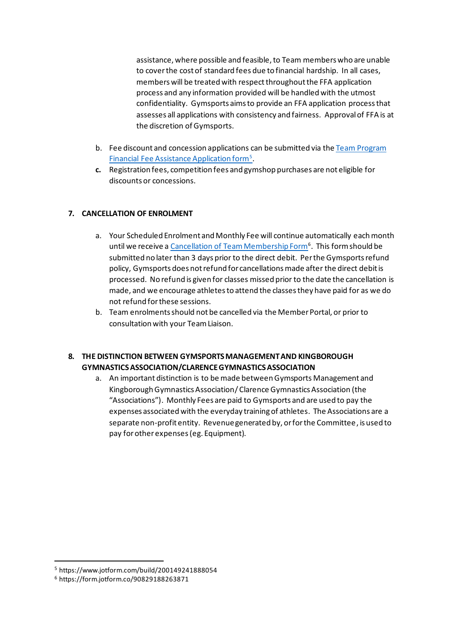assistance, where possible and feasible, to Team members who are unable to cover the cost of standard fees due to financial hardship. In all cases, members will be treated with respect throughout the FFA application process and any information provided will be handled with the utmost confidentiality. Gymsports aims to provide an FFA application process that assesses all applications with consistency and fairness. Approval of FFA is at the discretion of Gymsports.

- b. Fee discount and concession applications can be submitted via the Team Program Financial Fee Assistance Application form<sup>5</sup>.
- **c.** Registration fees, competition fees and gymshop purchases are not eligible for discounts or concessions.

#### **7. CANCELLATION OF ENROLMENT**

- a. Your Scheduled Enrolment and Monthly Fee will continue automatically each month until we receive a *Cancellation of Team Membership Form*<sup>6</sup>. This form should be submitted no later than 3 days prior to the direct debit. Per the Gymsports refund policy, Gymsports does not refund for cancellations made after the direct debit is processed. No refund is given for classes missed prior to the date the cancellation is made, and we encourage athletes to attend the classes they have paid for as we do not refund for these sessions.
- b. Team enrolments should not be cancelled via the Member Portal, or prior to consultation with your Team Liaison.

#### **8. THE DISTINCTION BETWEEN GYMSPORTS MANAGEMENT AND KINGBOROUGH GYMNASTICS ASSOCIATION/CLARENCE GYMNASTICS ASSOCIATION**

a. An important distinction is to be made between Gymsports Management and Kingborough Gymnastics Association/ Clarence Gymnastics Association (the "Associations"). Monthly Fees are paid to Gymsports and are used to pay the expenses associated with the everyday training of athletes. The Associations are a separate non-profit entity. Revenue generated by, or for the Committee, is used to pay for other expenses (eg. Equipment).

<sup>5</sup> https://www.jotform.com/build/200149241888054

<sup>6</sup> https://form.jotform.co/90829188263871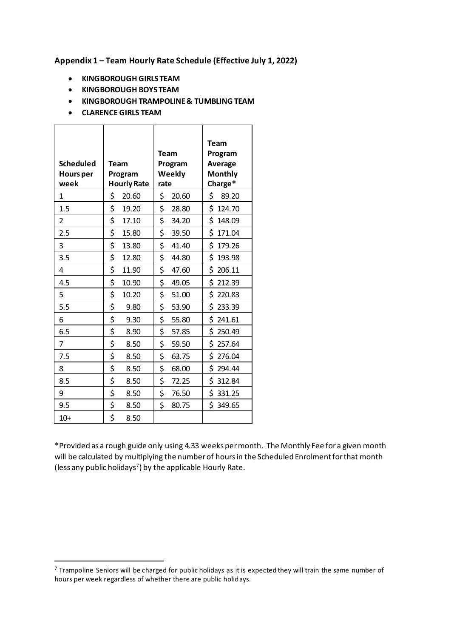#### **Appendix 1 – Team Hourly Rate Schedule (Effective July 1, 2022)**

- **KINGBOROUGH GIRLS TEAM**
- **KINGBOROUGH BOYS TEAM**
- **KINGBOROUGH TRAMPOLINE& TUMBLING TEAM**
- **CLARENCE GIRLS TEAM**

| <b>Scheduled</b><br><b>Hours per</b><br>week | Team<br>Program<br><b>Hourly Rate</b> | <b>Team</b><br>Program<br>Weekly<br>rate | <b>Team</b><br>Program<br>Average<br><b>Monthly</b><br>Charge* |
|----------------------------------------------|---------------------------------------|------------------------------------------|----------------------------------------------------------------|
| 1                                            | \$<br>20.60                           | \$<br>20.60                              | \$<br>89.20                                                    |
| 1.5                                          | \$<br>19.20                           | \$<br>28.80                              | \$124.70                                                       |
| $\overline{2}$                               | \$<br>17.10                           | \$<br>34.20                              | \$148.09                                                       |
| 2.5                                          | \$<br>15.80                           | \$<br>39.50                              | \$171.04                                                       |
| 3                                            | \$<br>13.80                           | \$<br>41.40                              | \$179.26                                                       |
| 3.5                                          | \$<br>12.80                           | \$<br>44.80                              | \$193.98                                                       |
| 4                                            | \$<br>11.90                           | \$<br>47.60                              | \$206.11                                                       |
| 4.5                                          | \$<br>10.90                           | \$<br>49.05                              | \$212.39                                                       |
| 5                                            | \$<br>10.20                           | \$<br>51.00                              | \$220.83                                                       |
| 5.5                                          | \$<br>9.80                            | \$<br>53.90                              | \$233.39                                                       |
| 6                                            | \$<br>9.30                            | \$<br>55.80                              | \$241.61                                                       |
| 6.5                                          | \$<br>8.90                            | \$<br>57.85                              | \$250.49                                                       |
| 7                                            | \$<br>8.50                            | \$<br>59.50                              | \$257.64                                                       |
| 7.5                                          | \$<br>8.50                            | \$<br>63.75                              | \$276.04                                                       |
| 8                                            | \$<br>8.50                            | \$<br>68.00                              | \$294.44                                                       |
| 8.5                                          | \$<br>8.50                            | \$<br>72.25                              | \$312.84                                                       |
| 9                                            | \$<br>8.50                            | \$<br>76.50                              | \$331.25                                                       |
| 9.5                                          | \$<br>8.50                            | \$<br>80.75                              | \$349.65                                                       |
| $10+$                                        | \$<br>8.50                            |                                          |                                                                |

\*Provided as a rough guide only using 4.33 weeks per month. The Monthly Fee for a given month will be calculated by multiplying the number of hours in the Scheduled Enrolment for that month (less any public holidays<sup>7</sup> ) by the applicable Hourly Rate.

<sup>7</sup> Trampoline Seniors will be charged for public holidays as it is expected they will train the same number of hours per week regardless of whether there are public holidays.